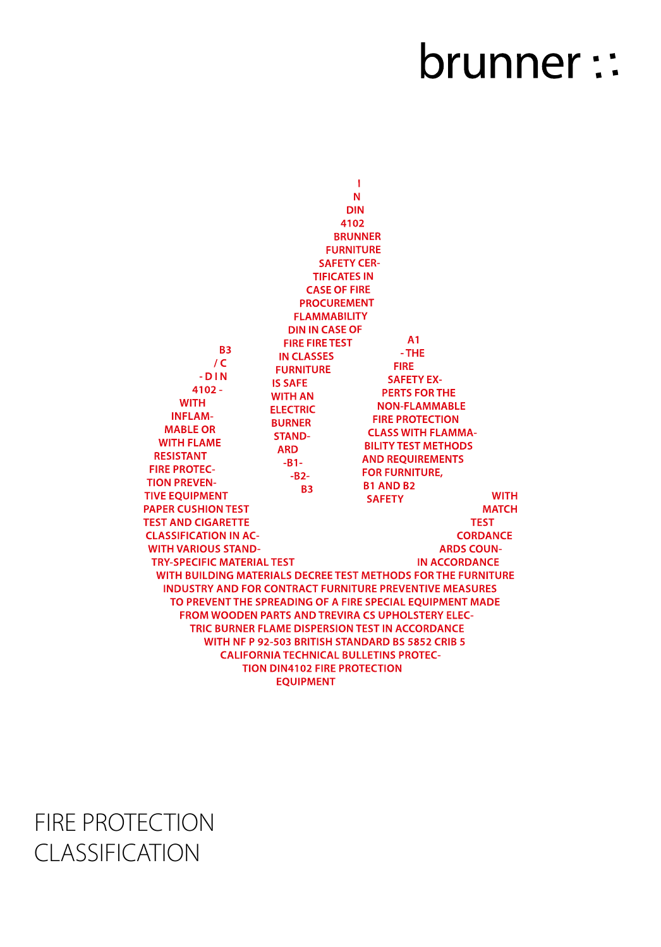# brunner::



FIRE PROTECTION CLASSIFICATION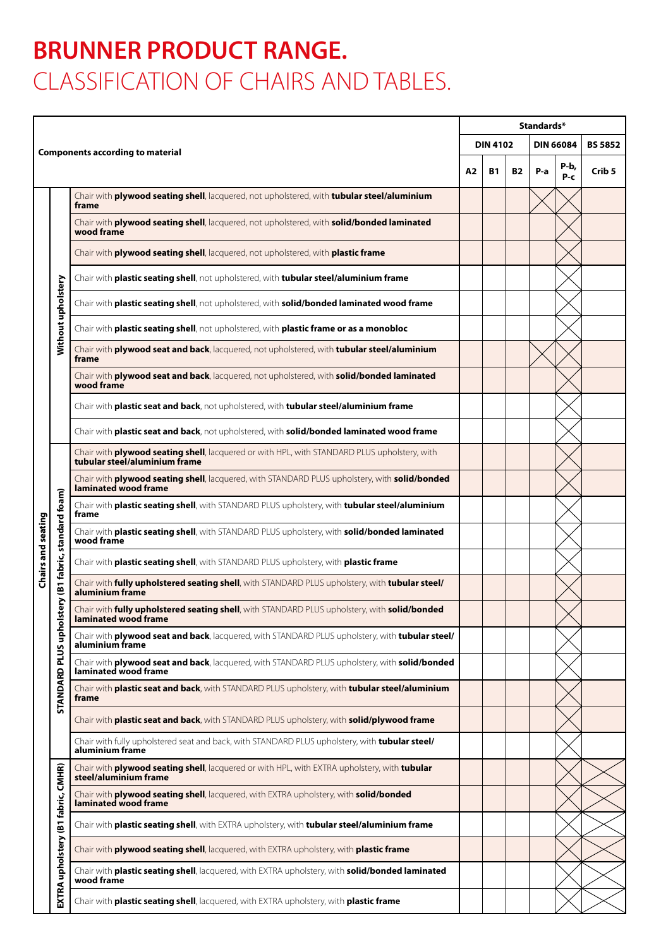## **BRUNNER PRODUCT RANGE.** CLASSIFICATION OF CHAIRS AND TABLES.

|                    |                                      |                                                                                                                                       |    |                 | Standards* |       |                  |                          |  |  |
|--------------------|--------------------------------------|---------------------------------------------------------------------------------------------------------------------------------------|----|-----------------|------------|-------|------------------|--------------------------|--|--|
|                    |                                      | <b>Components according to material</b>                                                                                               |    | <b>DIN 4102</b> |            |       | <b>DIN 66084</b> | <b>BS 5852</b><br>Crib 5 |  |  |
|                    |                                      |                                                                                                                                       | A2 | <b>B1</b>       | <b>B2</b>  | $P-a$ | $P-b$<br>P-c     |                          |  |  |
|                    |                                      | Chair with <b>plywood seating shell</b> , lacquered, not upholstered, with tubular steel/aluminium<br>frame                           |    |                 |            |       |                  |                          |  |  |
|                    |                                      | Chair with <b>plywood seating shell</b> , lacquered, not upholstered, with solid/bonded laminated<br>wood frame                       |    |                 |            |       |                  |                          |  |  |
|                    |                                      | Chair with <b>plywood seating shell</b> , lacquered, not upholstered, with <b>plastic frame</b>                                       |    |                 |            |       |                  |                          |  |  |
|                    |                                      | Chair with <b>plastic seating shell</b> , not upholstered, with <b>tubular steel/aluminium frame</b>                                  |    |                 |            |       |                  |                          |  |  |
|                    |                                      | Chair with <b>plastic seating shell</b> , not upholstered, with <b>solid/bonded laminated wood frame</b>                              |    |                 |            |       |                  |                          |  |  |
|                    | Without upholstery                   | Chair with <b>plastic seating shell</b> , not upholstered, with <b>plastic frame or as a monobloc</b>                                 |    |                 |            |       |                  |                          |  |  |
|                    |                                      | Chair with <b>plywood seat and back</b> , lacquered, not upholstered, with tubular steel/aluminium<br>frame                           |    |                 |            |       |                  |                          |  |  |
|                    |                                      | Chair with <b>plywood seat and back</b> , lacquered, not upholstered, with <b>solid/bonded laminated</b><br>wood frame                |    |                 |            |       |                  |                          |  |  |
|                    |                                      | Chair with plastic seat and back, not upholstered, with tubular steel/aluminium frame                                                 |    |                 |            |       |                  |                          |  |  |
|                    |                                      | Chair with plastic seat and back, not upholstered, with solid/bonded laminated wood frame                                             |    |                 |            |       |                  |                          |  |  |
|                    |                                      | Chair with <b>plywood seating shell</b> , lacquered or with HPL, with STANDARD PLUS upholstery, with<br>tubular steel/aluminium frame |    |                 |            |       |                  |                          |  |  |
|                    |                                      | Chair with <b>plywood seating shell</b> , lacquered, with STANDARD PLUS upholstery, with <b>solid/bonded</b><br>laminated wood frame  |    |                 |            |       |                  |                          |  |  |
|                    |                                      | Chair with <b>plastic seating shell</b> , with STANDARD PLUS upholstery, with tubular steel/aluminium<br>frame                        |    |                 |            |       |                  |                          |  |  |
| Chairs and seating |                                      | Chair with <b>plastic seating shell</b> , with STANDARD PLUS upholstery, with <b>solid/bonded laminated</b><br>wood frame             |    |                 |            |       |                  |                          |  |  |
|                    |                                      | Chair with <b>plastic seating shell</b> , with STANDARD PLUS upholstery, with <b>plastic frame</b>                                    |    |                 |            |       |                  |                          |  |  |
|                    |                                      | Chair with fully upholstered seating shell, with STANDARD PLUS upholstery, with tubular steel/<br>aluminium frame                     |    |                 |            |       |                  |                          |  |  |
|                    | pholstery (B1 fabric, standard foam) | Chair with fully upholstered seating shell, with STANDARD PLUS upholstery, with solid/bonded<br>laminated wood frame                  |    |                 |            |       |                  |                          |  |  |
|                    |                                      | Chair with <b>plywood seat and back</b> , lacquered, with STANDARD PLUS upholstery, with tubular steel/<br>aluminium frame            |    |                 |            |       |                  |                          |  |  |
|                    | STANDARD PLUS u                      | Chair with <b>plywood seat and back</b> , lacquered, with STANDARD PLUS upholstery, with solid/bonded<br>laminated wood frame         |    |                 |            |       |                  |                          |  |  |
|                    |                                      | Chair with <b>plastic seat and back</b> , with STANDARD PLUS upholstery, with <b>tubular steel/aluminium</b><br>frame                 |    |                 |            |       |                  |                          |  |  |
|                    |                                      | Chair with <b>plastic seat and back</b> , with STANDARD PLUS upholstery, with <b>solid/plywood frame</b>                              |    |                 |            |       |                  |                          |  |  |
|                    |                                      | Chair with fully upholstered seat and back, with STANDARD PLUS upholstery, with tubular steel/<br>aluminium frame                     |    |                 |            |       |                  |                          |  |  |
|                    | CMHR)                                | Chair with <b>plywood seating shell</b> , lacquered or with HPL, with EXTRA upholstery, with tubular<br>steel/aluminium frame         |    |                 |            |       |                  |                          |  |  |
|                    |                                      | Chair with <b>plywood seating shell</b> , lacquered, with EXTRA upholstery, with <b>solid/bonded</b><br>laminated wood frame          |    |                 |            |       |                  |                          |  |  |
|                    |                                      | Chair with <b>plastic seating shell</b> , with EXTRA upholstery, with <b>tubular steel/aluminium frame</b>                            |    |                 |            |       |                  |                          |  |  |
|                    | EXTRA upholstery (B1 fabric,         | Chair with <b>plywood seating shell</b> , lacquered, with EXTRA upholstery, with <b>plastic frame</b>                                 |    |                 |            |       |                  |                          |  |  |
|                    |                                      | Chair with <b>plastic seating shell</b> , lacquered, with EXTRA upholstery, with solid/bonded laminated<br>wood frame                 |    |                 |            |       |                  |                          |  |  |
|                    |                                      | Chair with <b>plastic seating shell</b> , lacquered, with EXTRA upholstery, with <b>plastic frame</b>                                 |    |                 |            |       |                  |                          |  |  |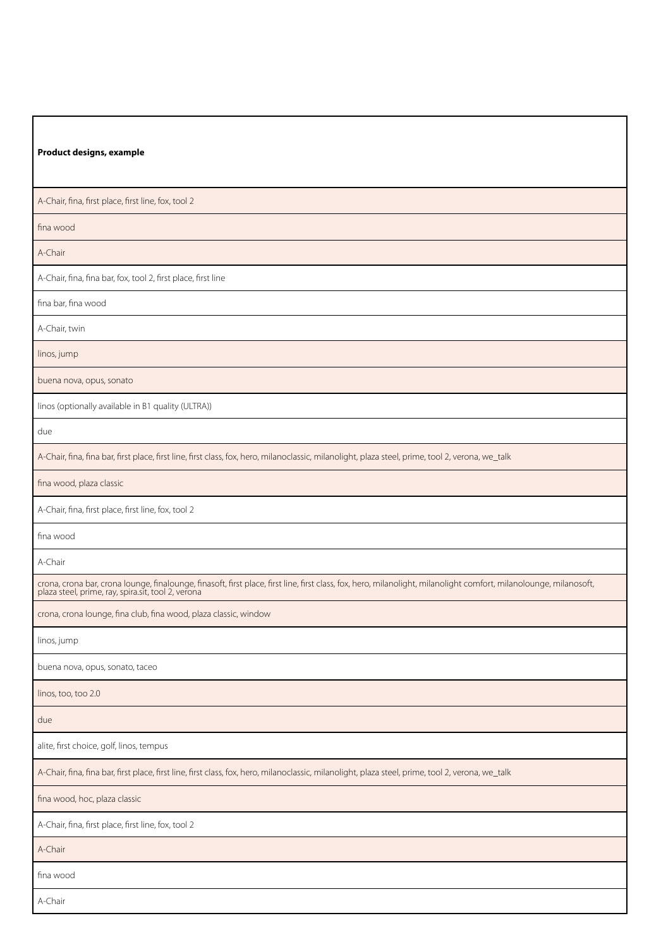| Product designs, example                                                                                                                                                                                              |
|-----------------------------------------------------------------------------------------------------------------------------------------------------------------------------------------------------------------------|
| A-Chair, fina, first place, first line, fox, tool 2                                                                                                                                                                   |
| fina wood                                                                                                                                                                                                             |
| A-Chair                                                                                                                                                                                                               |
| A-Chair, fina, fina bar, fox, tool 2, first place, first line                                                                                                                                                         |
| fina bar, fina wood                                                                                                                                                                                                   |
| A-Chair, twin                                                                                                                                                                                                         |
| linos, jump                                                                                                                                                                                                           |
| buena nova, opus, sonato                                                                                                                                                                                              |
| linos (optionally available in B1 quality (ULTRA))                                                                                                                                                                    |
| due                                                                                                                                                                                                                   |
| A-Chair, fina, fina bar, first place, first line, first class, fox, hero, milanoclassic, milanolight, plaza steel, prime, tool 2, verona, we_talk                                                                     |
| fina wood, plaza classic                                                                                                                                                                                              |
| A-Chair, fina, first place, first line, fox, tool 2                                                                                                                                                                   |
| fina wood                                                                                                                                                                                                             |
| A-Chair                                                                                                                                                                                                               |
| crona, crona bar, crona lounge, finalounge, finasoft, first place, first line, first class, fox, hero, milanolight, milanolight comfort, milanolounge, milanosoft, plaza steel, prime, ray, spira.sit, tool 2, verona |
| crona, crona lounge, fina club, fina wood, plaza classic, window                                                                                                                                                      |
| linos, jump                                                                                                                                                                                                           |
| buena nova, opus, sonato, taceo                                                                                                                                                                                       |
| linos, too, too 2.0                                                                                                                                                                                                   |
| due                                                                                                                                                                                                                   |
| alite, first choice, golf, linos, tempus                                                                                                                                                                              |
| A-Chair, fina, fina bar, first place, first line, first class, fox, hero, milanoclassic, milanolight, plaza steel, prime, tool 2, verona, we_talk                                                                     |
| fina wood, hoc, plaza classic                                                                                                                                                                                         |
| A-Chair, fina, first place, first line, fox, tool 2                                                                                                                                                                   |
| A-Chair                                                                                                                                                                                                               |
| fina wood                                                                                                                                                                                                             |
| A-Chair                                                                                                                                                                                                               |
|                                                                                                                                                                                                                       |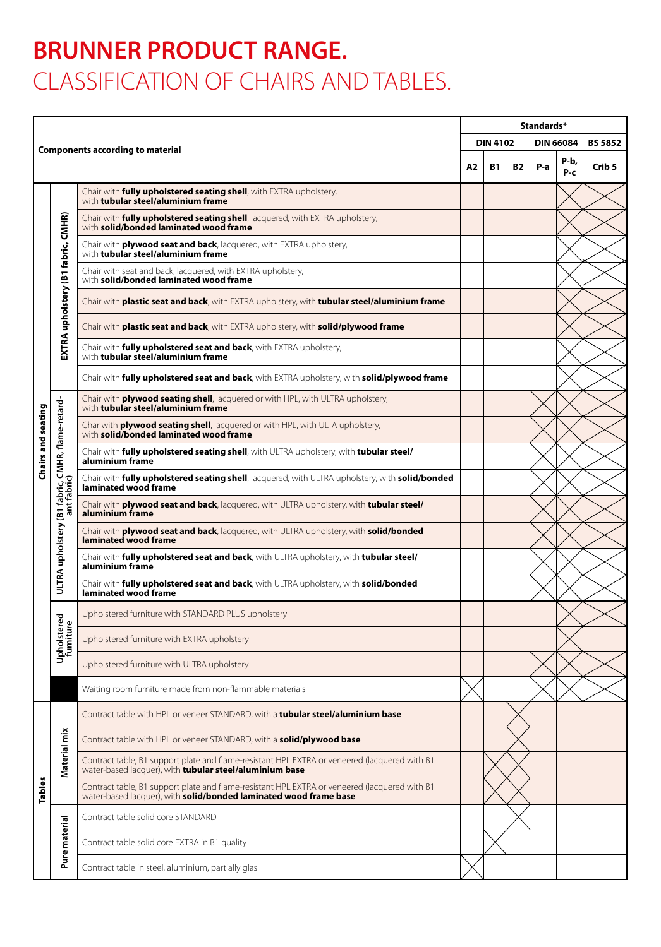## **BRUNNER PRODUCT RANGE.** CLASSIFICATION OF CHAIRS AND TABLES.

|                           |                                                | <b>Components according to material</b>                                                                                                                                |  |           | Standards*      |                  |             |                |  |  |
|---------------------------|------------------------------------------------|------------------------------------------------------------------------------------------------------------------------------------------------------------------------|--|-----------|-----------------|------------------|-------------|----------------|--|--|
|                           |                                                |                                                                                                                                                                        |  |           | <b>DIN 4102</b> | <b>DIN 66084</b> |             | <b>BS 5852</b> |  |  |
|                           |                                                |                                                                                                                                                                        |  | <b>B1</b> | <b>B2</b>       | P-a              | P-b,<br>P-c | Crib 5         |  |  |
|                           |                                                | Chair with <b>fully upholstered seating shell</b> , with EXTRA upholstery,<br>with tubular steel/aluminium frame                                                       |  |           |                 |                  |             |                |  |  |
|                           | CMHR)                                          | Chair with <b>fully upholstered seating shell</b> , lacquered, with EXTRA upholstery, with <b>solid/bonded laminated wood frame</b>                                    |  |           |                 |                  |             |                |  |  |
|                           | fabric,                                        | Chair with <b>plywood seat and back</b> , lacquered, with EXTRA upholstery,<br>with <b>tubular steel/aluminium frame</b>                                               |  |           |                 |                  |             |                |  |  |
|                           | $\mathbf{\tilde{e}}$                           | Chair with seat and back, lacquered, with EXTRA upholstery,<br>with solid/bonded laminated wood frame                                                                  |  |           |                 |                  |             |                |  |  |
|                           | upholstery                                     | Chair with <b>plastic seat and back</b> , with EXTRA upholstery, with <b>tubular steel/aluminium frame</b>                                                             |  |           |                 |                  |             |                |  |  |
|                           |                                                | Chair with <b>plastic seat and back</b> , with EXTRA upholstery, with <b>solid/plywood frame</b>                                                                       |  |           |                 |                  |             |                |  |  |
|                           | EXTRA                                          | Chair with <b>fully upholstered seat and back</b> , with EXTRA upholstery, with <b>tubular steel/aluminium frame</b>                                                   |  |           |                 |                  |             |                |  |  |
|                           |                                                | Chair with fully upholstered seat and back, with EXTRA upholstery, with solid/plywood frame                                                                            |  |           |                 |                  |             |                |  |  |
|                           |                                                | Chair with <b>plywood seating shell</b> , lacquered or with HPL, with ULTRA upholstery, with <b>tubular steel/aluminium frame</b>                                      |  |           |                 |                  |             |                |  |  |
| <b>Chairs and seating</b> | (B1 fabric, CMHR, flame-retard-<br>ant fabric) | Char with <b>plywood seating shell</b> , lacquered or with HPL, with ULTA upholstery,<br>with solid/bonded laminated wood frame                                        |  |           |                 |                  |             |                |  |  |
|                           |                                                | Chair with fully upholstered seating shell, with ULTRA upholstery, with tubular steel/<br>aluminium frame                                                              |  |           |                 |                  |             |                |  |  |
|                           |                                                | Chair with fully upholstered seating shell, lacquered, with ULTRA upholstery, with solid/bonded<br>laminated wood frame                                                |  |           |                 |                  |             |                |  |  |
|                           |                                                | Chair with <b>plywood seat and back</b> , lacquered, with ULTRA upholstery, with <b>tubular steel/</b><br>aluminium frame                                              |  |           |                 |                  |             |                |  |  |
|                           | upholstery                                     | Chair with <b>plywood seat and back</b> , lacquered, with ULTRA upholstery, with <b>solid/bonded</b><br>laminated wood frame                                           |  |           |                 |                  |             |                |  |  |
|                           |                                                | Chair with fully upholstered seat and back, with ULTRA upholstery, with tubular steel/<br>aluminium frame                                                              |  |           |                 |                  |             |                |  |  |
|                           | <b>ULTRA</b>                                   | Chair with <b>fully upholstered seat and back</b> , with ULTRA upholstery, with <b>solid/bonded</b>                                                                    |  |           |                 |                  |             |                |  |  |
|                           |                                                | Upholstered furniture with STANDARD PLUS upholstery                                                                                                                    |  |           |                 |                  |             |                |  |  |
|                           | stered<br>iture                                | Jpholstered furniture with EXTRA upholstery                                                                                                                            |  |           |                 |                  |             |                |  |  |
|                           | Uphols<br>furni                                | Upholstered furniture with ULTRA upholstery                                                                                                                            |  |           |                 |                  |             |                |  |  |
|                           |                                                | Waiting room furniture made from non-flammable materials                                                                                                               |  |           |                 |                  |             |                |  |  |
|                           |                                                | Contract table with HPL or veneer STANDARD, with a tubular steel/aluminium base                                                                                        |  |           |                 |                  |             |                |  |  |
|                           |                                                | Contract table with HPL or veneer STANDARD, with a solid/plywood base                                                                                                  |  |           |                 |                  |             |                |  |  |
|                           | Material mix                                   | Contract table, B1 support plate and flame-resistant HPL EXTRA or veneered (lacquered with B1<br>water-based lacquer), with <b>tubular steel/aluminium base</b>        |  |           |                 |                  |             |                |  |  |
| <b>Tables</b>             |                                                | Contract table, B1 support plate and flame-resistant HPL EXTRA or veneered (lacquered with B1 water-based lacquer), with <b>solid/bonded laminated wood frame base</b> |  |           |                 |                  |             |                |  |  |
|                           |                                                | Contract table solid core STANDARD                                                                                                                                     |  |           |                 |                  |             |                |  |  |
|                           | Pure material                                  | Contract table solid core EXTRA in B1 quality                                                                                                                          |  |           |                 |                  |             |                |  |  |
|                           |                                                | Contract table in steel, aluminium, partially glas                                                                                                                     |  |           |                 |                  |             |                |  |  |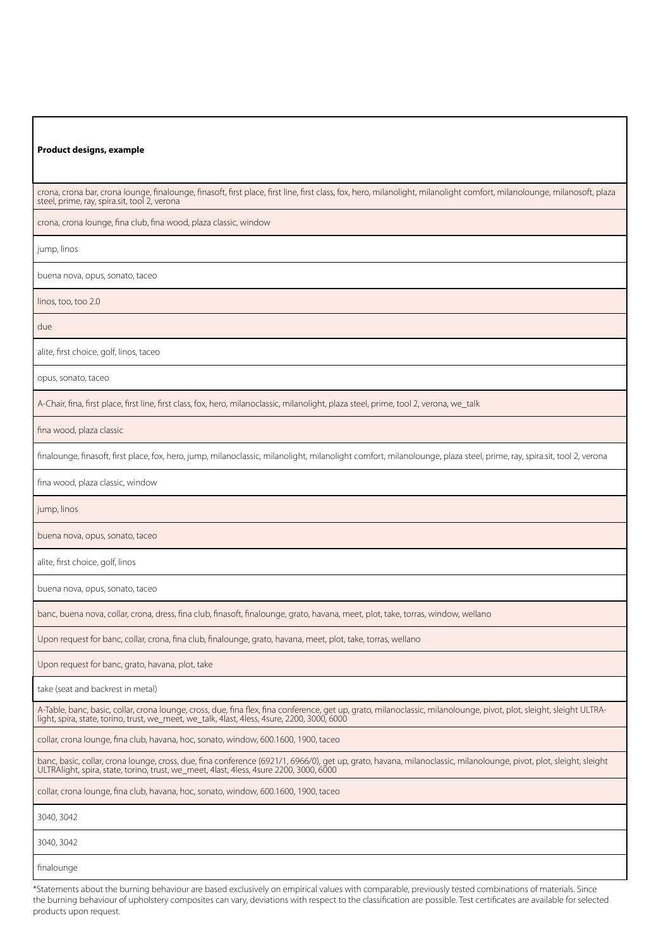| Product designs, example                                                                                                                                                                                                          |
|-----------------------------------------------------------------------------------------------------------------------------------------------------------------------------------------------------------------------------------|
| crona, crona bar, crona lounge, finalounge, finasoft, first place, first line, first class, fox, hero, milanolight, milanolight comfort, milanolounge, milanosoft, plaza<br>steel, prime, ray, spira.sit, tool 2, verona          |
| crona, crona lounge, fina club, fina wood, plaza classic, window                                                                                                                                                                  |
| jump, linos                                                                                                                                                                                                                       |
| buena nova, opus, sonato, taceo                                                                                                                                                                                                   |
| linos, too, too 2.0                                                                                                                                                                                                               |
| due                                                                                                                                                                                                                               |
| alite, first choice, golf, linos, taceo                                                                                                                                                                                           |
| opus, sonato, taceo                                                                                                                                                                                                               |
| A-Chair, fina, first place, first line, first class, fox, hero, milanoclassic, milanolight, plaza steel, prime, tool 2, verona, we_talk                                                                                           |
| fina wood, plaza classic                                                                                                                                                                                                          |
| finalounge, finasoft, first place, fox, hero, jump, milanoclassic, milanolight, milanolight comfort, milanolounge, plaza steel, prime, ray, spira.sit, tool 2, verona                                                             |
| fina wood, plaza classic, window                                                                                                                                                                                                  |
| jump, linos                                                                                                                                                                                                                       |
| buena nova, opus, sonato, taceo                                                                                                                                                                                                   |
| alite, first choice, golf, linos                                                                                                                                                                                                  |
| buena nova, opus, sonato, taceo                                                                                                                                                                                                   |
| banc, buena nova, collar, crona, dress, fina club, finasoft, finalounge, grato, havana, meet, plot, take, torras, window, wellano                                                                                                 |
| Upon request for banc, collar, crona, fina club, finalounge, grato, havana, meet, plot, take, torras, wellano                                                                                                                     |
| Upon request for banc, grato, havana, plot, take                                                                                                                                                                                  |
| take (seat and backrest in metal)                                                                                                                                                                                                 |
| A-Table, banc, basic, collar, crona lounge, cross, due, fina flex, fina conference, get up, grato, milanoclassic, milanolounge, pivot, plot, sleight, sleight ULTRA-<br>light, spira, state, torino, trust, we_meet, we_talk, 4la |
| collar, crona lounge, fina club, havana, hoc, sonato, window, 600.1600, 1900, taceo                                                                                                                                               |
| banc, basic, collar, crona lounge, cross, due, fina conference (6921/1, 6966/0), get up, grato, havana, milanoclassic, milanolounge, pivot, plot, sleight, sleight<br>ULTRAlight, spira, state, torino, trust, we_meet, 4last, 4l |
| collar, crona lounge, fina club, havana, hoc, sonato, window, 600.1600, 1900, taceo                                                                                                                                               |
| 3040, 3042                                                                                                                                                                                                                        |
| 3040, 3042                                                                                                                                                                                                                        |
| finalounge                                                                                                                                                                                                                        |

\*Statements about the burning behaviour are based exclusively on empirical values with comparable, previously tested combinations of materials. Since the burning behaviour of upholstery composites can vary, deviations with respect to the classification are possible. Test certificates are available for selected products upon request.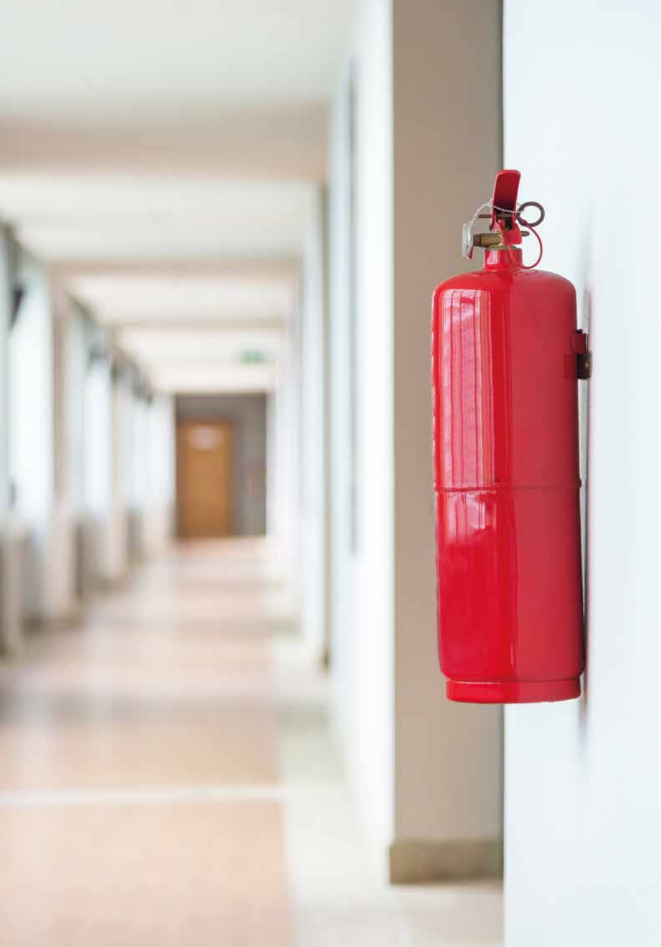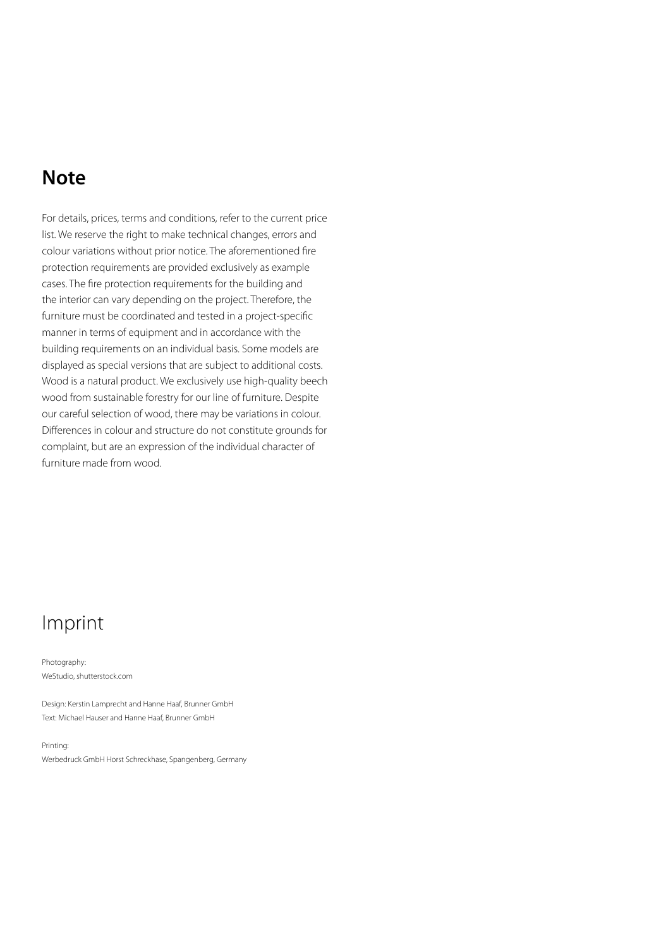### **Note**

For details, prices, terms and conditions, refer to the current price list. We reserve the right to make technical changes, errors and colour variations without prior notice. The aforementioned fire protection requirements are provided exclusively as example cases. The fire protection requirements for the building and the interior can vary depending on the project. Therefore, the furniture must be coordinated and tested in a project-specific manner in terms of equipment and in accordance with the building requirements on an individual basis. Some models are displayed as special versions that are subject to additional costs. Wood is a natural product. We exclusively use high-quality beech wood from sustainable forestry for our line of furniture. Despite our careful selection of wood, there may be variations in colour. Differences in colour and structure do not constitute grounds for complaint, but are an expression of the individual character of furniture made from wood.

### Imprint

Photography: WeStudio, shutterstock.com

Design: Kerstin Lamprecht and Hanne Haaf, Brunner GmbH Text: Michael Hauser and Hanne Haaf, Brunner GmbH

Printing:

Werbedruck GmbH Horst Schreckhase, Spangenberg, Germany